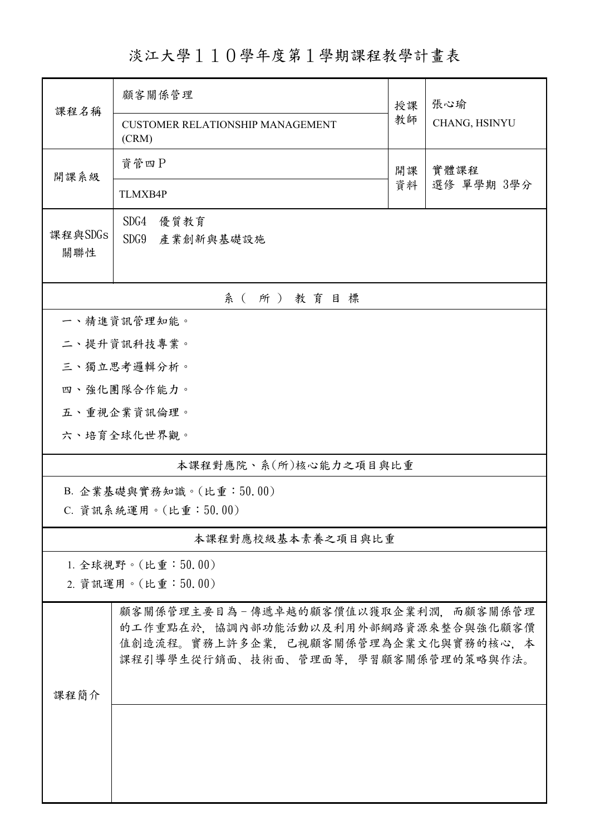淡江大學110學年度第1學期課程教學計畫表

| 課程名稱                    | 顧客關係管理<br><b>CUSTOMER RELATIONSHIP MANAGEMENT</b>                          | 授課<br>教師 | 張心瑜<br>CHANG, HSINYU |  |  |  |  |
|-------------------------|----------------------------------------------------------------------------|----------|----------------------|--|--|--|--|
|                         | (CRM)                                                                      |          |                      |  |  |  |  |
| 開課系級                    | 資管四P                                                                       | 開課<br>資料 | 實體課程<br>選修 單學期 3學分   |  |  |  |  |
|                         | <b>TLMXB4P</b>                                                             |          |                      |  |  |  |  |
| 課程與SDGs                 | SDG4<br>優質教育                                                               |          |                      |  |  |  |  |
| 關聯性                     | SDG9 產業創新與基礎設施                                                             |          |                      |  |  |  |  |
| 系(所)教育目標                |                                                                            |          |                      |  |  |  |  |
| 一、精進資訊管理知能。             |                                                                            |          |                      |  |  |  |  |
|                         | 二、提升資訊科技專業。                                                                |          |                      |  |  |  |  |
|                         | 三、獨立思考邏輯分析。                                                                |          |                      |  |  |  |  |
|                         | 四、強化團隊合作能力。                                                                |          |                      |  |  |  |  |
|                         | 五、重視企業資訊倫理。                                                                |          |                      |  |  |  |  |
|                         | 六、培育全球化世界觀。                                                                |          |                      |  |  |  |  |
|                         | 本課程對應院、系(所)核心能力之項目與比重                                                      |          |                      |  |  |  |  |
| B. 企業基礎與實務知識。(比重:50.00) |                                                                            |          |                      |  |  |  |  |
| C. 資訊系統運用。(比重: 50.00)   |                                                                            |          |                      |  |  |  |  |
| 本課程對應校級基本素養之項目與比重       |                                                                            |          |                      |  |  |  |  |
| 1. 全球視野。(比重:50.00)      |                                                                            |          |                      |  |  |  |  |
| 2. 資訊運用。(比重:50.00)      |                                                                            |          |                      |  |  |  |  |
|                         | 顧客關係管理主要目為-傳遞卓越的顧客價值以獲取企業利潤,而顧客關係管理                                        |          |                      |  |  |  |  |
|                         | 的工作重點在於,協調內部功能活動以及利用外部網路資源來整合與強化顧客價<br>值創造流程。實務上許多企業,已視顧客關係管理為企業文化與實務的核心,本 |          |                      |  |  |  |  |
| 課程簡介                    | 課程引導學生從行銷面、技術面、管理面等,學習顧客關係管理的策略與作法。                                        |          |                      |  |  |  |  |
|                         |                                                                            |          |                      |  |  |  |  |
|                         |                                                                            |          |                      |  |  |  |  |
|                         |                                                                            |          |                      |  |  |  |  |
|                         |                                                                            |          |                      |  |  |  |  |
|                         |                                                                            |          |                      |  |  |  |  |
|                         |                                                                            |          |                      |  |  |  |  |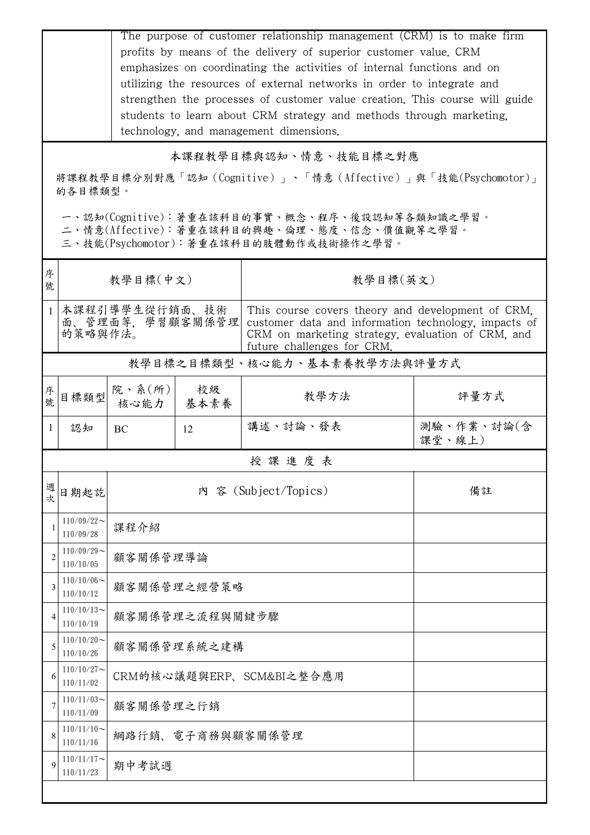|                                                                                                                                                                                                                                            | The purpose of customer relationship management (CRM) is to make firm<br>profits by means of the delivery of superior customer value. CRM<br>emphasizes on coordinating the activities of internal functions and on<br>utilizing the resources of external networks in order to integrate and<br>strengthen the processes of customer value creation. This course will guide<br>students to learn about CRM strategy and methods through marketing.<br>technology, and management dimensions. |                                    |                          |                                                                                                                                                                                              |                      |  |  |  |
|--------------------------------------------------------------------------------------------------------------------------------------------------------------------------------------------------------------------------------------------|-----------------------------------------------------------------------------------------------------------------------------------------------------------------------------------------------------------------------------------------------------------------------------------------------------------------------------------------------------------------------------------------------------------------------------------------------------------------------------------------------|------------------------------------|--------------------------|----------------------------------------------------------------------------------------------------------------------------------------------------------------------------------------------|----------------------|--|--|--|
| 本課程教學目標與認知、情意、技能目標之對應<br>將課程教學目標分別對應「認知(Cognitive)」、「情意(Affective)」與「技能(Psychomotor)」<br>的各目標類型。<br>一、認知(Cognitive):著重在該科目的事實、概念、程序、後設認知等各類知識之學習。<br>二、情意(Affective):著重在該科目的興趣、倫理、態度、信念、價值觀等之學習。<br>三、技能(Psychomotor):著重在該科目的肢體動作或技術操作之學習。 |                                                                                                                                                                                                                                                                                                                                                                                                                                                                                               |                                    |                          |                                                                                                                                                                                              |                      |  |  |  |
| 序<br>號                                                                                                                                                                                                                                     |                                                                                                                                                                                                                                                                                                                                                                                                                                                                                               | 教學目標(中文)                           |                          | 教學目標(英文)                                                                                                                                                                                     |                      |  |  |  |
| $\mathbf{1}$                                                                                                                                                                                                                               | 的策略與作法。                                                                                                                                                                                                                                                                                                                                                                                                                                                                                       | 本課程引導學生從行銷面、技術<br>面、管理面等, 學習顧客關係管理 |                          | This course covers theory and development of CRM,<br>customer data and information technology, impacts of<br>CRM on marketing strategy, evaluation of CRM, and<br>future challenges for CRM. |                      |  |  |  |
| 教學目標之目標類型、核心能力、基本素養教學方法與評量方式                                                                                                                                                                                                               |                                                                                                                                                                                                                                                                                                                                                                                                                                                                                               |                                    |                          |                                                                                                                                                                                              |                      |  |  |  |
| 序號                                                                                                                                                                                                                                         | 目標類型                                                                                                                                                                                                                                                                                                                                                                                                                                                                                          | 院、系(所)<br>核心能力                     | 校級<br>基本素養               | 教學方法                                                                                                                                                                                         | 評量方式                 |  |  |  |
| $\mathbf{1}$                                                                                                                                                                                                                               | 認知                                                                                                                                                                                                                                                                                                                                                                                                                                                                                            | BC                                 | 12                       | 講述、討論、發表                                                                                                                                                                                     | 測驗、作業、討論(含<br>課堂、線上) |  |  |  |
| 授課進度表                                                                                                                                                                                                                                      |                                                                                                                                                                                                                                                                                                                                                                                                                                                                                               |                                    |                          |                                                                                                                                                                                              |                      |  |  |  |
| 週次                                                                                                                                                                                                                                         | 日期起訖                                                                                                                                                                                                                                                                                                                                                                                                                                                                                          |                                    |                          | 內 容 (Subject/Topics)                                                                                                                                                                         | 備註                   |  |  |  |
|                                                                                                                                                                                                                                            | $110/09/22$ ~<br>110/09/28                                                                                                                                                                                                                                                                                                                                                                                                                                                                    | 課程介紹                               |                          |                                                                                                                                                                                              |                      |  |  |  |
| $\overline{2}$                                                                                                                                                                                                                             | $110/09/29$ ~<br>110/10/05                                                                                                                                                                                                                                                                                                                                                                                                                                                                    | 顧客關係管理導論                           |                          |                                                                                                                                                                                              |                      |  |  |  |
| 3                                                                                                                                                                                                                                          | $110/10/06 \sim$<br>110/10/12                                                                                                                                                                                                                                                                                                                                                                                                                                                                 |                                    | 顧客關係管理之經營策略              |                                                                                                                                                                                              |                      |  |  |  |
| 4                                                                                                                                                                                                                                          | $110/10/13$ ~<br>110/10/19                                                                                                                                                                                                                                                                                                                                                                                                                                                                    |                                    | 顧客關係管理之流程與關鍵步驟           |                                                                                                                                                                                              |                      |  |  |  |
| 5                                                                                                                                                                                                                                          | $110/10/20$ ~<br>110/10/26                                                                                                                                                                                                                                                                                                                                                                                                                                                                    | 顧客關係管理系統之建構                        |                          |                                                                                                                                                                                              |                      |  |  |  |
| 6                                                                                                                                                                                                                                          | $110/10/27$ ~<br>110/11/02                                                                                                                                                                                                                                                                                                                                                                                                                                                                    |                                    | CRM的核心議題與ERP、SCM&BI之整合應用 |                                                                                                                                                                                              |                      |  |  |  |
|                                                                                                                                                                                                                                            | $110/11/03$ ~<br>110/11/09                                                                                                                                                                                                                                                                                                                                                                                                                                                                    | 顧客關係管理之行銷                          |                          |                                                                                                                                                                                              |                      |  |  |  |
|                                                                                                                                                                                                                                            | $110/11/10$ ~<br>110/11/16                                                                                                                                                                                                                                                                                                                                                                                                                                                                    | 網路行銷、電子商務與顧客關係管理                   |                          |                                                                                                                                                                                              |                      |  |  |  |
| 9                                                                                                                                                                                                                                          | $110/11/17$ ~<br>110/11/23                                                                                                                                                                                                                                                                                                                                                                                                                                                                    | 期中考試週                              |                          |                                                                                                                                                                                              |                      |  |  |  |
|                                                                                                                                                                                                                                            |                                                                                                                                                                                                                                                                                                                                                                                                                                                                                               |                                    |                          |                                                                                                                                                                                              |                      |  |  |  |